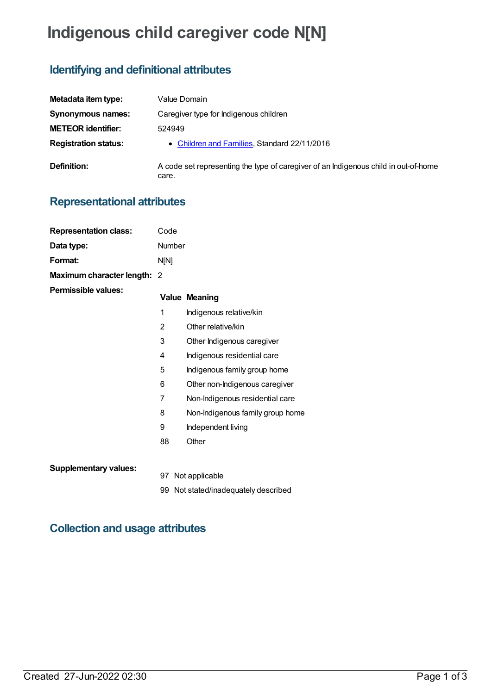# **Indigenous child caregiver code N[N]**

## **Identifying and definitional attributes**

| Metadata item type:         | Value Domain                                                                                 |
|-----------------------------|----------------------------------------------------------------------------------------------|
| Synonymous names:           | Caregiver type for Indigenous children                                                       |
| <b>METEOR identifier:</b>   | 524949                                                                                       |
| <b>Registration status:</b> | • Children and Families, Standard 22/11/2016                                                 |
| Definition:                 | A code set representing the type of caregiver of an Indigenous child in out-of-home<br>care. |

### **Representational attributes**

| <b>Representation class:</b> | Code   |                                      |
|------------------------------|--------|--------------------------------------|
| Data type:                   | Number |                                      |
| Format:                      | N[N]   |                                      |
| Maximum character length: 2  |        |                                      |
| <b>Permissible values:</b>   |        | <b>Value Meaning</b>                 |
|                              | 1      | Indigenous relative/kin              |
|                              | 2      | Other relative/kin                   |
|                              | 3      | Other Indigenous caregiver           |
|                              | 4      | Indigenous residential care          |
|                              | 5      | Indigenous family group home         |
|                              | 6      | Other non-Indigenous caregiver       |
|                              | 7      | Non-Indigenous residential care      |
|                              | 8      | Non-Indigenous family group home     |
|                              | 9      | Independent living                   |
|                              | 88     | Other                                |
| <b>Supplementary values:</b> |        |                                      |
|                              |        | 97 Not applicable                    |
|                              |        | 99 Not stated/inadequately described |

### **Collection and usage attributes**